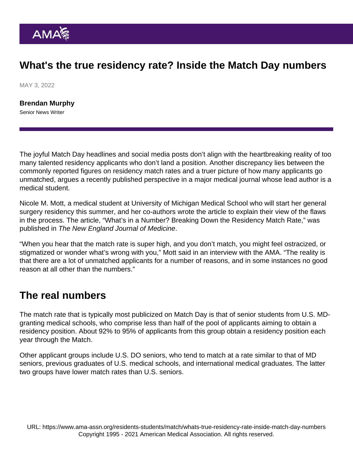## What's the true residency rate? Inside the Match Day numbers

MAY 3, 2022

[Brendan Murphy](https://www.ama-assn.org/news-leadership-viewpoints/authors-news-leadership-viewpoints/brendan-murphy) Senior News Writer

The joyful Match Day headlines and social media posts don't align with the heartbreaking reality of too many talented residency applicants who don't land a position. Another discrepancy lies between the commonly reported figures on residency match rates and a truer picture of how many applicants go unmatched, argues a recently published perspective in a major medical journal whose lead author is a medical student.

Nicole M. Mott, a medical student at University of Michigan Medical School who will start her general surgery residency this summer, and her co-authors wrote the article to explain their view of the flaws in the process. The article, ["What's in a Number? Breaking Down the Residency Match Rate,](https://www.nejm.org/doi/full/10.1056/NEJMp2119716)" was published in The New England Journal of Medicine.

"When you hear that the match rate is super high, and you don't match, you might feel ostracized, or stigmatized or wonder what's wrong with you," Mott said in an interview with the AMA. "The reality is that there are a lot of unmatched applicants for a number of reasons, and in some instances no good reason at all other than the numbers."

## The real numbers

The match rate that is typically most publicized on Match Day is that of senior students from U.S. MDgranting medical schools, who comprise less than half of the pool of applicants aiming to obtain a residency position. About 92% to 95% of applicants from this group obtain a residency position each year through the Match.

Other applicant groups include U.S. DO seniors, who tend to match at a rate similar to that of MD seniors, previous graduates of U.S. medical schools, and international medical graduates. The latter two groups have lower match rates than U.S. seniors.